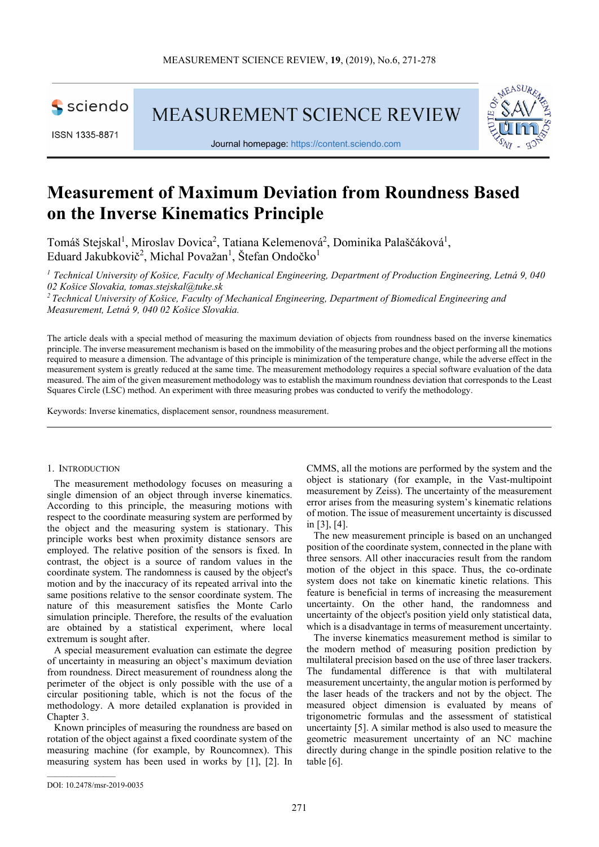

ISSN 1335-8871

**MEASUREMENT SCIENCE REVIEW** 



Journal homepage: https://content.sciendo.com

# **Measurement of Maximum Deviation from Roundness Based on the Inverse Kinematics Principle**

Tomáš Stejskal<sup>1</sup>, Miroslav Dovica<sup>2</sup>, Tatiana Kelemenová<sup>2</sup>, Dominika Palaščáková<sup>1</sup>, Eduard Jakubkovič<sup>2</sup>, Michal Považan<sup>1</sup>, Štefan Ondočko<sup>1</sup>

*<sup>1</sup> Technical University of Košice, Faculty of Mechanical Engineering, Department of Production Engineering, Letná 9, 040 02 Košice Slovakia, tomas.stejskal@tuke.sk* 

*<sup>2</sup>Technical University of Košice, Faculty of Mechanical Engineering, Department of Biomedical Engineering and Measurement, Letná 9, 040 02 Košice Slovakia.* 

The article deals with a special method of measuring the maximum deviation of objects from roundness based on the inverse kinematics principle. The inverse measurement mechanism is based on the immobility of the measuring probes and the object performing all the motions required to measure a dimension. The advantage of this principle is minimization of the temperature change, while the adverse effect in the measurement system is greatly reduced at the same time. The measurement methodology requires a special software evaluation of the data measured. The aim of the given measurement methodology was to establish the maximum roundness deviation that corresponds to the Least Squares Circle (LSC) method. An experiment with three measuring probes was conducted to verify the methodology.

Keywords: Inverse kinematics, displacement sensor, roundness measurement.

#### 1. INTRODUCTION

The measurement methodology focuses on measuring a single dimension of an object through inverse kinematics. According to this principle, the measuring motions with respect to the coordinate measuring system are performed by the object and the measuring system is stationary. This principle works best when proximity distance sensors are employed. The relative position of the sensors is fixed. In contrast, the object is a source of random values in the coordinate system. The randomness is caused by the object's motion and by the inaccuracy of its repeated arrival into the same positions relative to the sensor coordinate system. The nature of this measurement satisfies the Monte Carlo simulation principle. Therefore, the results of the evaluation are obtained by a statistical experiment, where local extremum is sought after.

A special measurement evaluation can estimate the degree of uncertainty in measuring an object's maximum deviation from roundness. Direct measurement of roundness along the perimeter of the object is only possible with the use of a circular positioning table, which is not the focus of the methodology. A more detailed explanation is provided in Chapter 3.

Known principles of measuring the roundness are based on rotation of the object against a fixed coordinate system of the measuring machine (for example, by Rouncomnex). This measuring system has been used in works by [1], [2]. In CMMS, all the motions are performed by the system and the object is stationary (for example, in the Vast-multipoint measurement by Zeiss). The uncertainty of the measurement error arises from the measuring system's kinematic relations of motion. The issue of measurement uncertainty is discussed in [3], [4].

The new measurement principle is based on an unchanged position of the coordinate system, connected in the plane with three sensors. All other inaccuracies result from the random motion of the object in this space. Thus, the co-ordinate system does not take on kinematic kinetic relations. This feature is beneficial in terms of increasing the measurement uncertainty. On the other hand, the randomness and uncertainty of the object's position yield only statistical data, which is a disadvantage in terms of measurement uncertainty.

The inverse kinematics measurement method is similar to the modern method of measuring position prediction by multilateral precision based on the use of three laser trackers. The fundamental difference is that with multilateral measurement uncertainty, the angular motion is performed by the laser heads of the trackers and not by the object. The measured object dimension is evaluated by means of trigonometric formulas and the assessment of statistical uncertainty [5]. A similar method is also used to measure the geometric measurement uncertainty of an NC machine directly during change in the spindle position relative to the table [6].

DOI: 10.2478/msr-2019-0035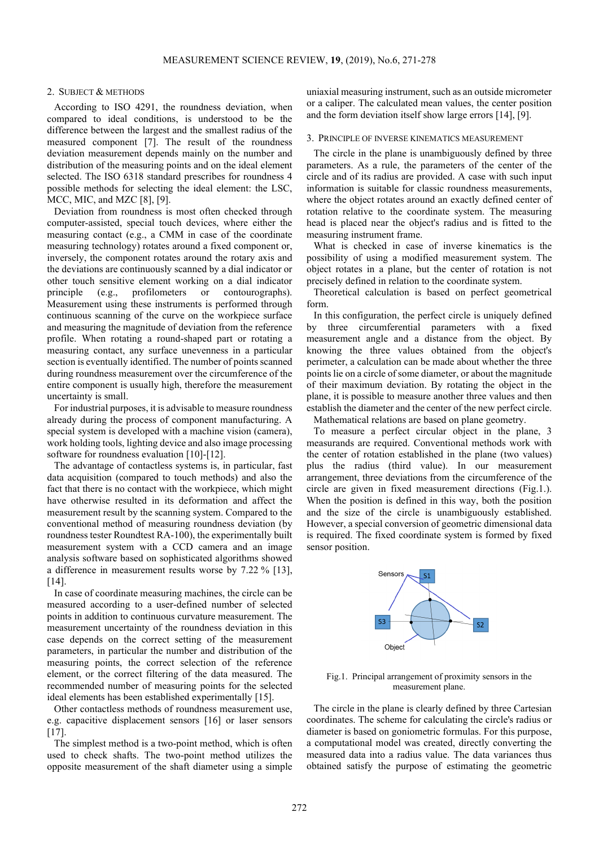#### 2. SUBJECT & METHODS

According to ISO 4291, the roundness deviation, when compared to ideal conditions, is understood to be the difference between the largest and the smallest radius of the measured component [7]. The result of the roundness deviation measurement depends mainly on the number and distribution of the measuring points and on the ideal element selected. The ISO 6318 standard prescribes for roundness 4 possible methods for selecting the ideal element: the LSC, MCC, MIC, and MZC [8], [9].

Deviation from roundness is most often checked through computer-assisted, special touch devices, where either the measuring contact (e.g., a CMM in case of the coordinate measuring technology) rotates around a fixed component or, inversely, the component rotates around the rotary axis and the deviations are continuously scanned by a dial indicator or other touch sensitive element working on a dial indicator principle (e.g., profilometers or contourographs). Measurement using these instruments is performed through continuous scanning of the curve on the workpiece surface and measuring the magnitude of deviation from the reference profile. When rotating a round-shaped part or rotating a measuring contact, any surface unevenness in a particular section is eventually identified. The number of points scanned during roundness measurement over the circumference of the entire component is usually high, therefore the measurement uncertainty is small.

For industrial purposes, it is advisable to measure roundness already during the process of component manufacturing. A special system is developed with a machine vision (camera), work holding tools, lighting device and also image processing software for roundness evaluation [10]-[12].

The advantage of contactless systems is, in particular, fast data acquisition (compared to touch methods) and also the fact that there is no contact with the workpiece, which might have otherwise resulted in its deformation and affect the measurement result by the scanning system. Compared to the conventional method of measuring roundness deviation (by roundness tester Roundtest RA-100), the experimentally built measurement system with a CCD camera and an image analysis software based on sophisticated algorithms showed a difference in measurement results worse by 7.22 % [13], [14].

In case of coordinate measuring machines, the circle can be measured according to a user-defined number of selected points in addition to continuous curvature measurement. The measurement uncertainty of the roundness deviation in this case depends on the correct setting of the measurement parameters, in particular the number and distribution of the measuring points, the correct selection of the reference element, or the correct filtering of the data measured. The recommended number of measuring points for the selected ideal elements has been established experimentally [15].

Other contactless methods of roundness measurement use, e.g. capacitive displacement sensors [16] or laser sensors [17].

The simplest method is a two-point method, which is often used to check shafts. The two-point method utilizes the opposite measurement of the shaft diameter using a simple uniaxial measuring instrument, such as an outside micrometer or a caliper. The calculated mean values, the center position and the form deviation itself show large errors [14], [9].

#### 3. PRINCIPLE OF INVERSE KINEMATICS MEASUREMENT

The circle in the plane is unambiguously defined by three parameters. As a rule, the parameters of the center of the circle and of its radius are provided. A case with such input information is suitable for classic roundness measurements, where the object rotates around an exactly defined center of rotation relative to the coordinate system. The measuring head is placed near the object's radius and is fitted to the measuring instrument frame.

What is checked in case of inverse kinematics is the possibility of using a modified measurement system. The object rotates in a plane, but the center of rotation is not precisely defined in relation to the coordinate system.

Theoretical calculation is based on perfect geometrical form.

In this configuration, the perfect circle is uniquely defined by three circumferential parameters with a fixed measurement angle and a distance from the object. By knowing the three values obtained from the object's perimeter, a calculation can be made about whether the three points lie on a circle of some diameter, or about the magnitude of their maximum deviation. By rotating the object in the plane, it is possible to measure another three values and then establish the diameter and the center of the new perfect circle. Mathematical relations are based on plane geometry.

To measure a perfect circular object in the plane, 3 measurands are required. Conventional methods work with the center of rotation established in the plane (two values) plus the radius (third value). In our measurement arrangement, three deviations from the circumference of the circle are given in fixed measurement directions (Fig.1.). When the position is defined in this way, both the position and the size of the circle is unambiguously established. However, a special conversion of geometric dimensional data is required. The fixed coordinate system is formed by fixed sensor position.



Fig.1. Principal arrangement of proximity sensors in the measurement plane.

The circle in the plane is clearly defined by three Cartesian coordinates. The scheme for calculating the circle's radius or diameter is based on goniometric formulas. For this purpose, a computational model was created, directly converting the measured data into a radius value. The data variances thus obtained satisfy the purpose of estimating the geometric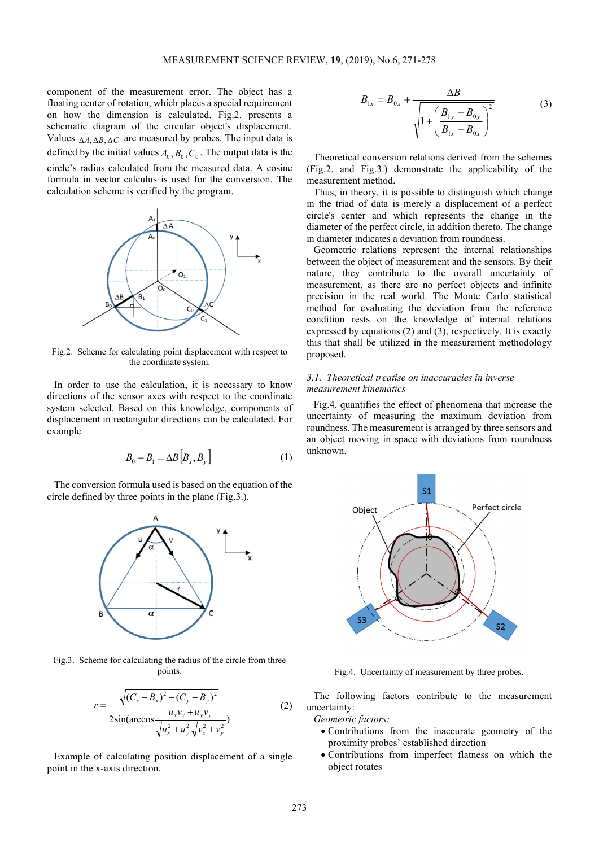component of the measurement error. The object has a floating center of rotation, which places a special requirement on how the dimension is calculated. Fig.2. presents a schematic diagram of the circular object's displacement. Values ∆*A*, ∆*B*, ∆*C* are measured by probes. The input data is defined by the initial values  $A_0$ ,  $B_0$ ,  $C_0$ . The output data is the circle's radius calculated from the measured data. A cosine formula in vector calculus is used for the conversion. The calculation scheme is verified by the program.



Fig.2. Scheme for calculating point displacement with respect to the coordinate system.

In order to use the calculation, it is necessary to know directions of the sensor axes with respect to the coordinate system selected. Based on this knowledge, components of displacement in rectangular directions can be calculated. For example

$$
B_0 - B_1 = \Delta B \Big[ B_x, B_y \Big] \tag{1}
$$

The conversion formula used is based on the equation of the circle defined by three points in the plane (Fig.3.).



Fig.3. Scheme for calculating the radius of the circle from three points.

$$
r = \frac{\sqrt{(C_x - B_x)^2 + (C_y - B_y)^2}}{2\sin(\arccos\frac{u_x v_x + u_y v_y}{\sqrt{u_x^2 + u_y^2}\sqrt{v_x^2 + v_y^2}})}
$$
(2)

Example of calculating position displacement of a single point in the x-axis direction.

$$
B_{1x} = B_{0x} + \frac{\Delta B}{\sqrt{1 + \left(\frac{B_{1y} - B_{0y}}{B_{1x} - B_{0x}}\right)^2}}
$$
(3)

Theoretical conversion relations derived from the schemes (Fig.2. and Fig.3.) demonstrate the applicability of the measurement method.

Thus, in theory, it is possible to distinguish which change in the triad of data is merely a displacement of a perfect circle's center and which represents the change in the diameter of the perfect circle, in addition thereto. The change in diameter indicates a deviation from roundness.

Geometric relations represent the internal relationships between the object of measurement and the sensors. By their nature, they contribute to the overall uncertainty of measurement, as there are no perfect objects and infinite precision in the real world. The Monte Carlo statistical method for evaluating the deviation from the reference condition rests on the knowledge of internal relations expressed by equations (2) and (3), respectively. It is exactly this that shall be utilized in the measurement methodology proposed.

# *3.1. Theoretical treatise on inaccuracies in inverse measurement kinematics*

Fig.4. quantifies the effect of phenomena that increase the uncertainty of measuring the maximum deviation from roundness. The measurement is arranged by three sensors and an object moving in space with deviations from roundness unknown.



Fig.4. Uncertainty of measurement by three probes.

The following factors contribute to the measurement uncertainty:

*Geometric factors:* 

- Contributions from the inaccurate geometry of the proximity probes' established direction
- Contributions from imperfect flatness on which the object rotates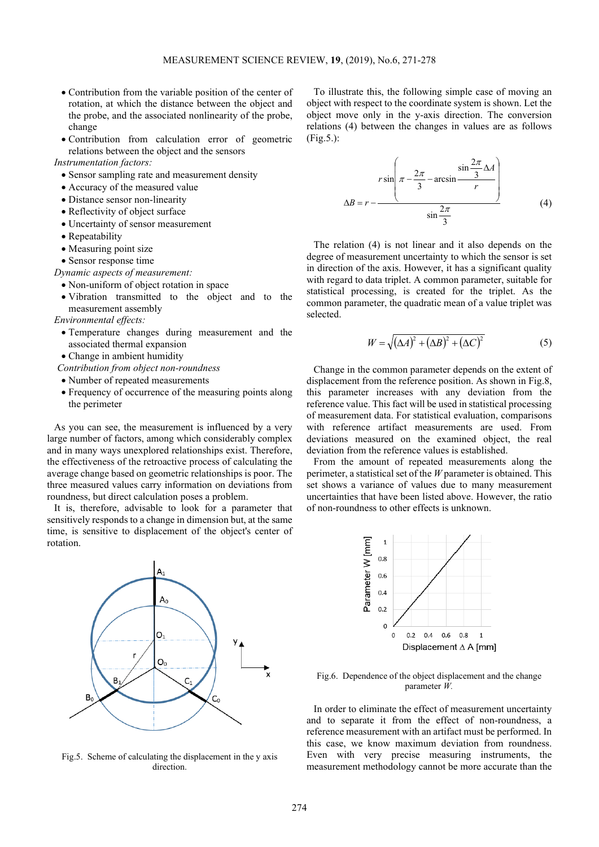- Contribution from the variable position of the center of rotation, at which the distance between the object and the probe, and the associated nonlinearity of the probe, change
- Contribution from calculation error of geometric relations between the object and the sensors

*Instrumentation factors:* 

- Sensor sampling rate and measurement density
- Accuracy of the measured value
- Distance sensor non-linearity
- Reflectivity of object surface
- Uncertainty of sensor measurement
- Repeatability
- Measuring point size
- Sensor response time

*Dynamic aspects of measurement:* 

- Non-uniform of object rotation in space
- Vibration transmitted to the object and to the measurement assembly

*Environmental effects:* 

- Temperature changes during measurement and the associated thermal expansion
- Change in ambient humidity
- *Contribution from object non-roundness*
- Number of repeated measurements
- Frequency of occurrence of the measuring points along the perimeter

As you can see, the measurement is influenced by a very large number of factors, among which considerably complex and in many ways unexplored relationships exist. Therefore, the effectiveness of the retroactive process of calculating the average change based on geometric relationships is poor. The three measured values carry information on deviations from roundness, but direct calculation poses a problem.

It is, therefore, advisable to look for a parameter that sensitively responds to a change in dimension but, at the same time, is sensitive to displacement of the object's center of rotation.



Fig.5. Scheme of calculating the displacement in the y axis direction.

To illustrate this, the following simple case of moving an object with respect to the coordinate system is shown. Let the object move only in the y-axis direction. The conversion relations (4) between the changes in values are as follows (Fig.5.):

$$
r \sin\left(\pi - \frac{2\pi}{3} - \arcsin\frac{\sin\frac{2\pi}{3}\Delta A}{r}\right)
$$
\n
$$
\Delta B = r - \frac{\sin\frac{2\pi}{3}\Delta A}{\sin\frac{2\pi}{3}}
$$
\n(4)

The relation (4) is not linear and it also depends on the degree of measurement uncertainty to which the sensor is set in direction of the axis. However, it has a significant quality with regard to data triplet. A common parameter, suitable for statistical processing, is created for the triplet. As the common parameter, the quadratic mean of a value triplet was selected.

$$
W = \sqrt{(\Delta A)^2 + (\Delta B)^2 + (\Delta C)^2}
$$
 (5)

Change in the common parameter depends on the extent of displacement from the reference position. As shown in Fig.8, this parameter increases with any deviation from the reference value. This fact will be used in statistical processing of measurement data. For statistical evaluation, comparisons with reference artifact measurements are used. From deviations measured on the examined object, the real deviation from the reference values is established.

From the amount of repeated measurements along the perimeter, a statistical set of the *W* parameter is obtained. This set shows a variance of values due to many measurement uncertainties that have been listed above. However, the ratio of non-roundness to other effects is unknown.



Fig.6. Dependence of the object displacement and the change parameter *W.*

In order to eliminate the effect of measurement uncertainty and to separate it from the effect of non-roundness, a reference measurement with an artifact must be performed. In this case, we know maximum deviation from roundness. Even with very precise measuring instruments, the measurement methodology cannot be more accurate than the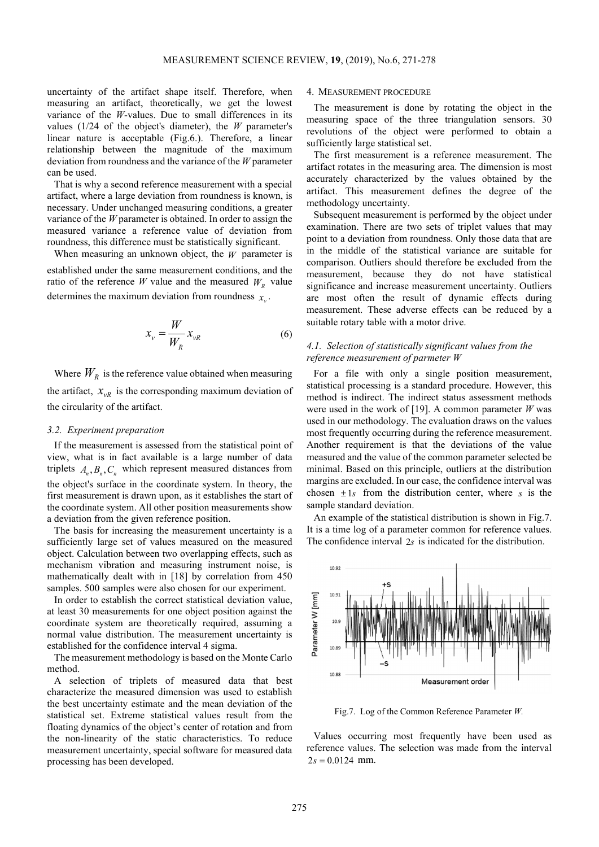uncertainty of the artifact shape itself. Therefore, when measuring an artifact, theoretically, we get the lowest variance of the *W*-values. Due to small differences in its values (1/24 of the object's diameter), the *W* parameter's linear nature is acceptable (Fig.6.). Therefore, a linear relationship between the magnitude of the maximum deviation from roundness and the variance of the *W* parameter can be used.

That is why a second reference measurement with a special artifact, where a large deviation from roundness is known, is necessary. Under unchanged measuring conditions, a greater variance of the *W* parameter is obtained. In order to assign the measured variance a reference value of deviation from roundness, this difference must be statistically significant.

When measuring an unknown object, the  $W$  parameter is established under the same measurement conditions, and the ratio of the reference *W* value and the measured  $W_R$  value determines the maximum deviation from roundness  $x_v$ .

$$
x_{\nu} = \frac{W}{W_R} x_{\nu R} \tag{6}
$$

Where  $W_R$  is the reference value obtained when measuring the artifact,  $x_{vR}$  is the corresponding maximum deviation of the circularity of the artifact.

## *3.2. Experiment preparation*

If the measurement is assessed from the statistical point of view, what is in fact available is a large number of data triplets  $A_n$ ,  $B_n$ ,  $C_n$  which represent measured distances from the object's surface in the coordinate system. In theory, the first measurement is drawn upon, as it establishes the start of the coordinate system. All other position measurements show a deviation from the given reference position.

The basis for increasing the measurement uncertainty is a sufficiently large set of values measured on the measured object. Calculation between two overlapping effects, such as mechanism vibration and measuring instrument noise, is mathematically dealt with in [18] by correlation from 450 samples. 500 samples were also chosen for our experiment.

In order to establish the correct statistical deviation value, at least 30 measurements for one object position against the coordinate system are theoretically required, assuming a normal value distribution. The measurement uncertainty is established for the confidence interval 4 sigma.

The measurement methodology is based on the Monte Carlo method.

A selection of triplets of measured data that best characterize the measured dimension was used to establish the best uncertainty estimate and the mean deviation of the statistical set. Extreme statistical values result from the floating dynamics of the object's center of rotation and from the non-linearity of the static characteristics. To reduce measurement uncertainty, special software for measured data processing has been developed.

#### 4. MEASUREMENT PROCEDURE

The measurement is done by rotating the object in the measuring space of the three triangulation sensors. 30 revolutions of the object were performed to obtain a sufficiently large statistical set.

The first measurement is a reference measurement. The artifact rotates in the measuring area. The dimension is most accurately characterized by the values obtained by the artifact. This measurement defines the degree of the methodology uncertainty.

Subsequent measurement is performed by the object under examination. There are two sets of triplet values that may point to a deviation from roundness. Only those data that are in the middle of the statistical variance are suitable for comparison. Outliers should therefore be excluded from the measurement, because they do not have statistical significance and increase measurement uncertainty. Outliers are most often the result of dynamic effects during measurement. These adverse effects can be reduced by a suitable rotary table with a motor drive.

# *4.1. Selection of statistically significant values from the reference measurement of parmeter W*

For a file with only a single position measurement, statistical processing is a standard procedure. However, this method is indirect. The indirect status assessment methods were used in the work of [19]. A common parameter *W* was used in our methodology. The evaluation draws on the values most frequently occurring during the reference measurement. Another requirement is that the deviations of the value measured and the value of the common parameter selected be minimal. Based on this principle, outliers at the distribution margins are excluded. In our case, the confidence interval was chosen  $\pm 1s$  from the distribution center, where *s* is the sample standard deviation.

An example of the statistical distribution is shown in Fig.7. It is a time log of a parameter common for reference values. The confidence interval 2*s* is indicated for the distribution.



Fig.7. Log of the Common Reference Parameter *W.* 

Values occurring most frequently have been used as reference values. The selection was made from the interval  $2s = 0.0124$  mm.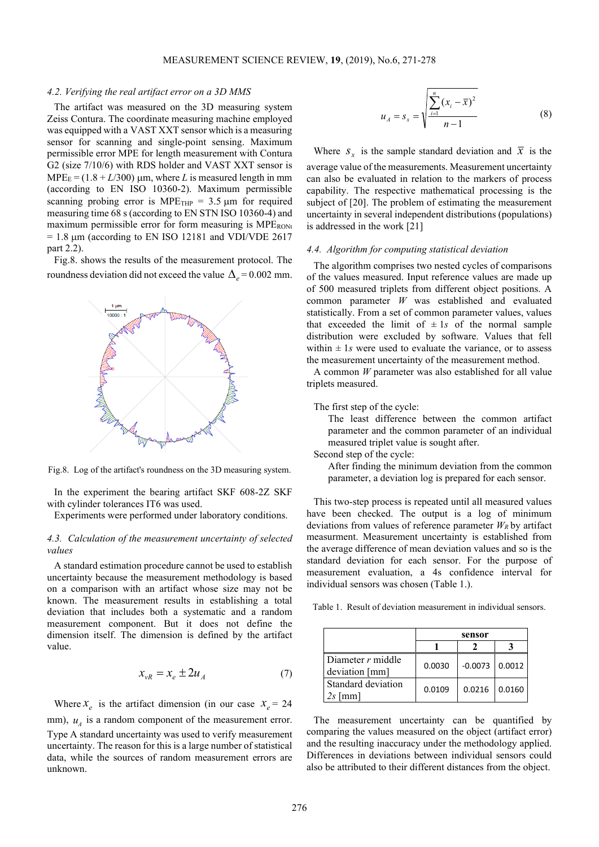### *4.2. Verifying the real artifact error on a 3D MMS*

The artifact was measured on the 3D measuring system Zeiss Contura. The coordinate measuring machine employed was equipped with a VAST XXT sensor which is a measuring sensor for scanning and single-point sensing. Maximum permissible error MPE for length measurement with Contura G2 (size 7/10/6) with RDS holder and VAST XXT sensor is  $MPE<sub>E</sub> = (1.8 + L/300)$  µm, where *L* is measured length in mm (according to EN ISO 10360-2). Maximum permissible scanning probing error is MPE<sub>THP</sub> =  $3.5 \mu m$  for required measuring time 68 s (according to EN STN ISO 10360-4) and maximum permissible error for form measuring is MPERONt  $= 1.8 \mu m$  (according to EN ISO 12181 and VDI/VDE 2617 part 2.2).

Fig.8. shows the results of the measurement protocol. The roundness deviation did not exceed the value  $\Delta_e$  = 0.002 mm.



Fig.8. Log of the artifact's roundness on the 3D measuring system.

In the experiment the bearing artifact SKF 608-2Z SKF with cylinder tolerances IT6 was used.

Experiments were performed under laboratory conditions.

# *4.3. Calculation of the measurement uncertainty of selected values*

A standard estimation procedure cannot be used to establish uncertainty because the measurement methodology is based on a comparison with an artifact whose size may not be known. The measurement results in establishing a total deviation that includes both a systematic and a random measurement component. But it does not define the dimension itself. The dimension is defined by the artifact value.

$$
x_{vR} = x_e \pm 2u_A \tag{7}
$$

Where  $x_e$  is the artifact dimension (in our case  $x_e = 24$ mm),  $u_A$  is a random component of the measurement error. Type A standard uncertainty was used to verify measurement uncertainty. The reason for this is a large number of statistical data, while the sources of random measurement errors are unknown.

$$
u_A = s_x = \sqrt{\frac{\sum_{i=1}^{n} (x_i - \bar{x})^2}{n - 1}}
$$
 (8)

Where  $S_x$  is the sample standard deviation and  $\bar{x}$  is the

average value of the measurements. Measurement uncertainty can also be evaluated in relation to the markers of process capability. The respective mathematical processing is the subject of [20]. The problem of estimating the measurement uncertainty in several independent distributions (populations) is addressed in the work [21]

### *4.4. Algorithm for computing statistical deviation*

The algorithm comprises two nested cycles of comparisons of the values measured. Input reference values are made up of 500 measured triplets from different object positions. A common parameter *W* was established and evaluated statistically. From a set of common parameter values, values that exceeded the limit of  $\pm 1s$  of the normal sample distribution were excluded by software. Values that fell within  $\pm$  1*s* were used to evaluate the variance, or to assess the measurement uncertainty of the measurement method.

A common *W* parameter was also established for all value triplets measured.

The first step of the cycle:

The least difference between the common artifact parameter and the common parameter of an individual measured triplet value is sought after.

Second step of the cycle:

After finding the minimum deviation from the common parameter, a deviation log is prepared for each sensor.

This two-step process is repeated until all measured values have been checked. The output is a log of minimum deviations from values of reference parameter  $W_R$  by artifact measurment. Measurement uncertainty is established from the average difference of mean deviation values and so is the standard deviation for each sensor. For the purpose of measurement evaluation, a 4s confidence interval for individual sensors was chosen (Table 1.).

Table 1. Result of deviation measurement in individual sensors.

|                                       | sensor |                  |        |
|---------------------------------------|--------|------------------|--------|
|                                       |        |                  |        |
| Diameter $r$ middle<br>deviation [mm] | 0.0030 | $-0.0073$ 0.0012 |        |
| Standard deviation<br>2s [mm]         | 0.0109 | 0.0216           | 0.0160 |

The measurement uncertainty can be quantified by comparing the values measured on the object (artifact error) and the resulting inaccuracy under the methodology applied. Differences in deviations between individual sensors could also be attributed to their different distances from the object.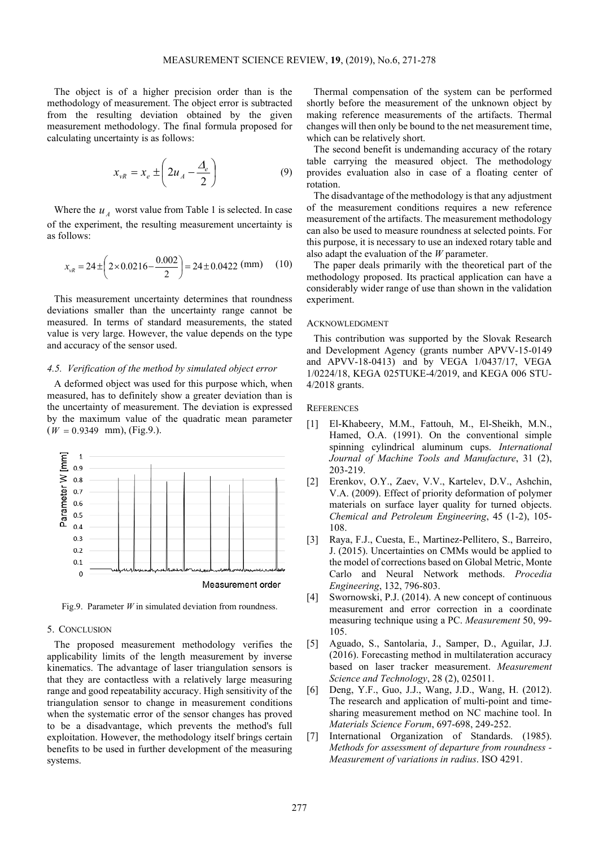The object is of a higher precision order than is the methodology of measurement. The object error is subtracted from the resulting deviation obtained by the given measurement methodology. The final formula proposed for calculating uncertainty is as follows:

$$
x_{vR} = x_e \pm \left(2u_A - \frac{\Delta_e}{2}\right) \tag{9}
$$

Where the  $u_A$  worst value from Table 1 is selected. In case of the experiment, the resulting measurement uncertainty is as follows:

$$
x_{vR} = 24 \pm \left(2 \times 0.0216 - \frac{0.002}{2}\right) = 24 \pm 0.0422 \text{ (mm)} \tag{10}
$$

This measurement uncertainty determines that roundness deviations smaller than the uncertainty range cannot be measured. In terms of standard measurements, the stated value is very large. However, the value depends on the type and accuracy of the sensor used.

## *4.5. Verification of the method by simulated object error*

A deformed object was used for this purpose which, when measured, has to definitely show a greater deviation than is the uncertainty of measurement. The deviation is expressed by the maximum value of the quadratic mean parameter  $(W = 0.9349$  mm), (Fig.9.).



Fig.9. Parameter *W* in simulated deviation from roundness.

# 5. CONCLUSION

The proposed measurement methodology verifies the applicability limits of the length measurement by inverse kinematics. The advantage of laser triangulation sensors is that they are contactless with a relatively large measuring range and good repeatability accuracy. High sensitivity of the triangulation sensor to change in measurement conditions when the systematic error of the sensor changes has proved to be a disadvantage, which prevents the method's full exploitation. However, the methodology itself brings certain benefits to be used in further development of the measuring systems.

Thermal compensation of the system can be performed shortly before the measurement of the unknown object by making reference measurements of the artifacts. Thermal changes will then only be bound to the net measurement time, which can be relatively short.

The second benefit is undemanding accuracy of the rotary table carrying the measured object. The methodology provides evaluation also in case of a floating center of rotation.

The disadvantage of the methodology is that any adjustment of the measurement conditions requires a new reference measurement of the artifacts. The measurement methodology can also be used to measure roundness at selected points. For this purpose, it is necessary to use an indexed rotary table and also adapt the evaluation of the *W* parameter.

The paper deals primarily with the theoretical part of the methodology proposed. Its practical application can have a considerably wider range of use than shown in the validation experiment.

#### ACKNOWLEDGMENT

This contribution was supported by the Slovak Research and Development Agency (grants number APVV-15-0149 and APVV-18-0413) and by VEGA 1/0437/17, VEGA 1/0224/18, KEGA 025TUKE-4/2019, and KEGA 006 STU-4/2018 grants.

#### **REFERENCES**

- [1] El-Khabeery, M.M., Fattouh, M., El-Sheikh, M.N., Hamed, O.A. (1991). On the conventional simple spinning cylindrical aluminum cups. *International Journal of Machine Tools and Manufacture*, 31 (2), 203-219.
- [2] Erenkov, O.Y., Zaev, V.V., Kartelev, D.V., Ashchin, V.A. (2009). Effect of priority deformation of polymer materials on surface layer quality for turned objects. *Chemical and Petroleum Engineering*, 45 (1-2), 105- 108.
- [3] Raya, F.J., Cuesta, E., Martinez-Pellitero, S., Barreiro, J. (2015). Uncertainties on CMMs would be applied to the model of corrections based on Global Metric, Monte Carlo and Neural Network methods. *Procedia Engineering*, 132, 796-803.
- [4] Swornowski, P.J. (2014). A new concept of continuous measurement and error correction in a coordinate measuring technique using a PC. *Measurement* 50, 99- 105.
- [5] Aguado, S., Santolaria, J., Samper, D., Aguilar, J.J. (2016). Forecasting method in multilateration accuracy based on laser tracker measurement. *Measurement Science and Technology*, 28 (2), 025011.
- [6] Deng, Y.F., Guo, J.J., Wang, J.D., Wang, H. (2012). The research and application of multi-point and timesharing measurement method on NC machine tool. In *Materials Science Forum*, 697-698, 249-252.
- [7] International Organization of Standards. (1985). *Methods for assessment of departure from roundness - Measurement of variations in radius*. ISO 4291.